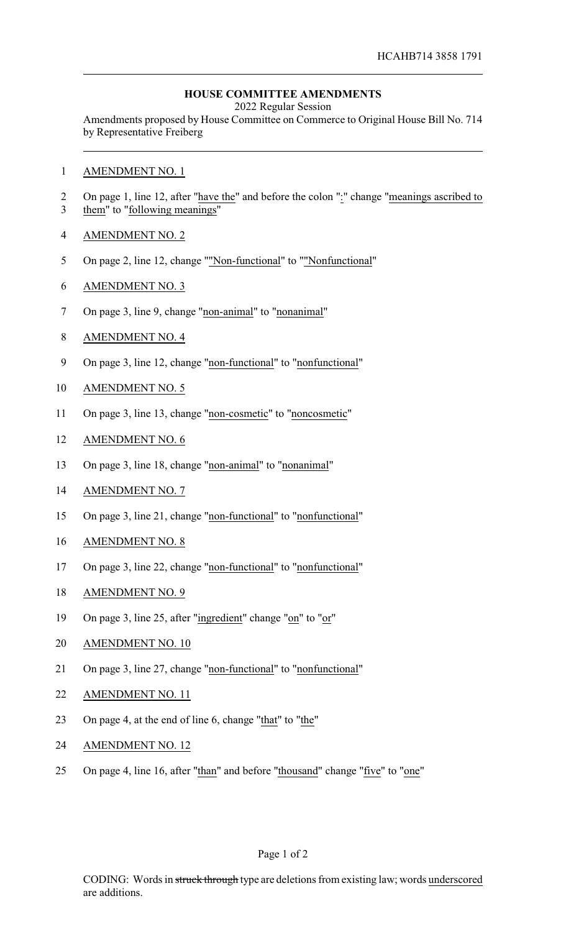## **HOUSE COMMITTEE AMENDMENTS**

2022 Regular Session

Amendments proposed by House Committee on Commerce to Original House Bill No. 714 by Representative Freiberg

- AMENDMENT NO. 1
- 2 On page 1, line 12, after "have the" and before the colon ":" change "meanings ascribed to them" to "following meanings"
- AMENDMENT NO. 2
- On page 2, line 12, change ""Non-functional" to ""Nonfunctional"
- AMENDMENT NO. 3
- 7 On page 3, line 9, change "non-animal" to "nonanimal"
- AMENDMENT NO. 4
- On page 3, line 12, change "non-functional" to "nonfunctional"
- AMENDMENT NO. 5
- On page 3, line 13, change "non-cosmetic" to "noncosmetic"
- AMENDMENT NO. 6
- On page 3, line 18, change "non-animal" to "nonanimal"
- AMENDMENT NO. 7
- On page 3, line 21, change "non-functional" to "nonfunctional"
- AMENDMENT NO. 8
- On page 3, line 22, change "non-functional" to "nonfunctional"
- AMENDMENT NO. 9
- On page 3, line 25, after "ingredient" change "on" to "or"
- AMENDMENT NO. 10
- 21 On page 3, line 27, change "non-functional" to "nonfunctional"
- AMENDMENT NO. 11
- On page 4, at the end of line 6, change "that" to "the"
- AMENDMENT NO. 12
- 25 On page 4, line 16, after "than" and before "thousand" change "five" to "one"